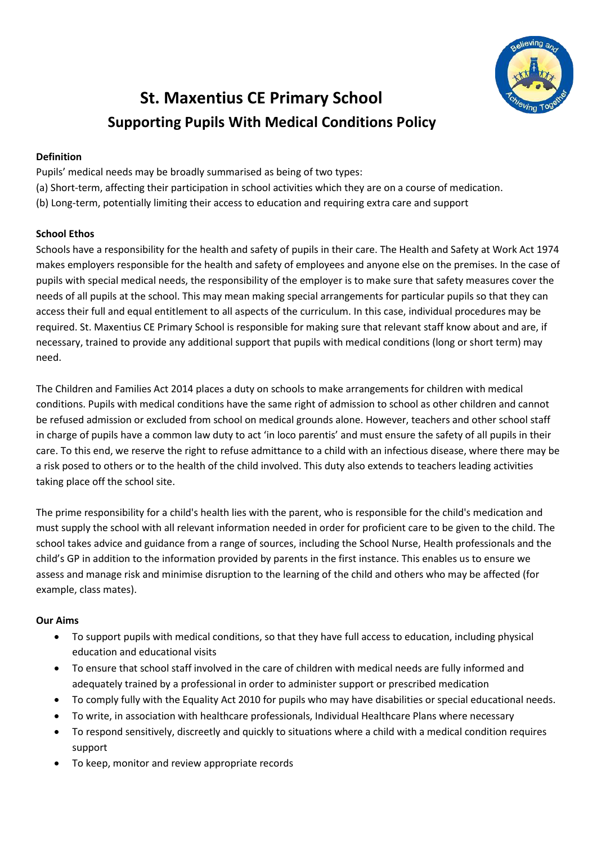

# **St. Maxentius CE Primary School Supporting Pupils With Medical Conditions Policy**

# **Definition**

Pupils' medical needs may be broadly summarised as being of two types: (a) Short-term, affecting their participation in school activities which they are on a course of medication. (b) Long-term, potentially limiting their access to education and requiring extra care and support

# **School Ethos**

Schools have a responsibility for the health and safety of pupils in their care. The Health and Safety at Work Act 1974 makes employers responsible for the health and safety of employees and anyone else on the premises. In the case of pupils with special medical needs, the responsibility of the employer is to make sure that safety measures cover the needs of all pupils at the school. This may mean making special arrangements for particular pupils so that they can access their full and equal entitlement to all aspects of the curriculum. In this case, individual procedures may be required. St. Maxentius CE Primary School is responsible for making sure that relevant staff know about and are, if necessary, trained to provide any additional support that pupils with medical conditions (long or short term) may need.

The Children and Families Act 2014 places a duty on schools to make arrangements for children with medical conditions. Pupils with medical conditions have the same right of admission to school as other children and cannot be refused admission or excluded from school on medical grounds alone. However, teachers and other school staff in charge of pupils have a common law duty to act 'in loco parentis' and must ensure the safety of all pupils in their care. To this end, we reserve the right to refuse admittance to a child with an infectious disease, where there may be a risk posed to others or to the health of the child involved. This duty also extends to teachers leading activities taking place off the school site.

The prime responsibility for a child's health lies with the parent, who is responsible for the child's medication and must supply the school with all relevant information needed in order for proficient care to be given to the child. The school takes advice and guidance from a range of sources, including the School Nurse, Health professionals and the child's GP in addition to the information provided by parents in the first instance. This enables us to ensure we assess and manage risk and minimise disruption to the learning of the child and others who may be affected (for example, class mates).

# **Our Aims**

- To support pupils with medical conditions, so that they have full access to education, including physical education and educational visits
- To ensure that school staff involved in the care of children with medical needs are fully informed and adequately trained by a professional in order to administer support or prescribed medication
- To comply fully with the Equality Act 2010 for pupils who may have disabilities or special educational needs.
- To write, in association with healthcare professionals, Individual Healthcare Plans where necessary
- To respond sensitively, discreetly and quickly to situations where a child with a medical condition requires support
- To keep, monitor and review appropriate records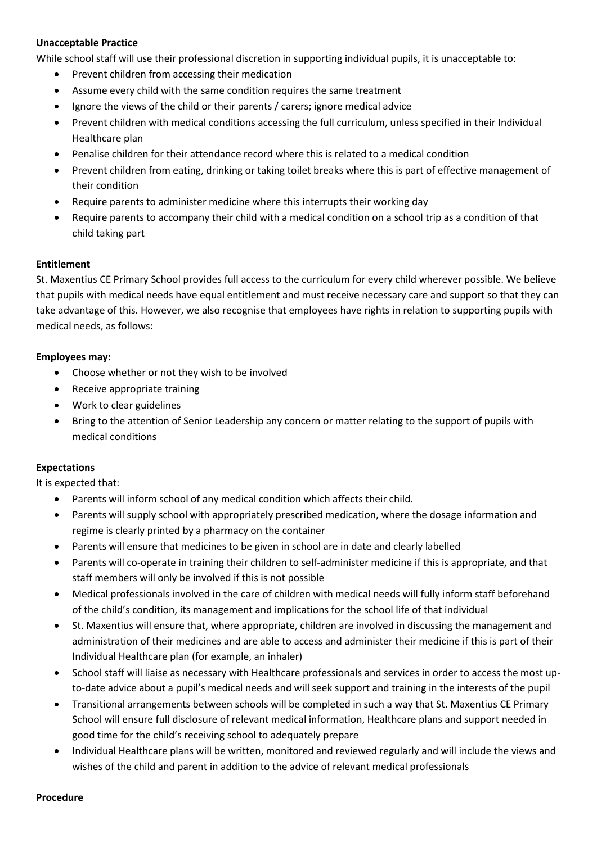## **Unacceptable Practice**

While school staff will use their professional discretion in supporting individual pupils, it is unacceptable to:

- Prevent children from accessing their medication
- Assume every child with the same condition requires the same treatment
- Ignore the views of the child or their parents / carers; ignore medical advice
- Prevent children with medical conditions accessing the full curriculum, unless specified in their Individual Healthcare plan
- Penalise children for their attendance record where this is related to a medical condition
- Prevent children from eating, drinking or taking toilet breaks where this is part of effective management of their condition
- Require parents to administer medicine where this interrupts their working day
- Require parents to accompany their child with a medical condition on a school trip as a condition of that child taking part

#### **Entitlement**

St. Maxentius CE Primary School provides full access to the curriculum for every child wherever possible. We believe that pupils with medical needs have equal entitlement and must receive necessary care and support so that they can take advantage of this. However, we also recognise that employees have rights in relation to supporting pupils with medical needs, as follows:

#### **Employees may:**

- Choose whether or not they wish to be involved
- Receive appropriate training
- Work to clear guidelines
- Bring to the attention of Senior Leadership any concern or matter relating to the support of pupils with medical conditions

### **Expectations**

It is expected that:

- Parents will inform school of any medical condition which affects their child.
- Parents will supply school with appropriately prescribed medication, where the dosage information and regime is clearly printed by a pharmacy on the container
- Parents will ensure that medicines to be given in school are in date and clearly labelled
- Parents will co-operate in training their children to self-administer medicine if this is appropriate, and that staff members will only be involved if this is not possible
- Medical professionals involved in the care of children with medical needs will fully inform staff beforehand of the child's condition, its management and implications for the school life of that individual
- St. Maxentius will ensure that, where appropriate, children are involved in discussing the management and administration of their medicines and are able to access and administer their medicine if this is part of their Individual Healthcare plan (for example, an inhaler)
- School staff will liaise as necessary with Healthcare professionals and services in order to access the most upto-date advice about a pupil's medical needs and will seek support and training in the interests of the pupil
- Transitional arrangements between schools will be completed in such a way that St. Maxentius CE Primary School will ensure full disclosure of relevant medical information, Healthcare plans and support needed in good time for the child's receiving school to adequately prepare
- Individual Healthcare plans will be written, monitored and reviewed regularly and will include the views and wishes of the child and parent in addition to the advice of relevant medical professionals

#### **Procedure**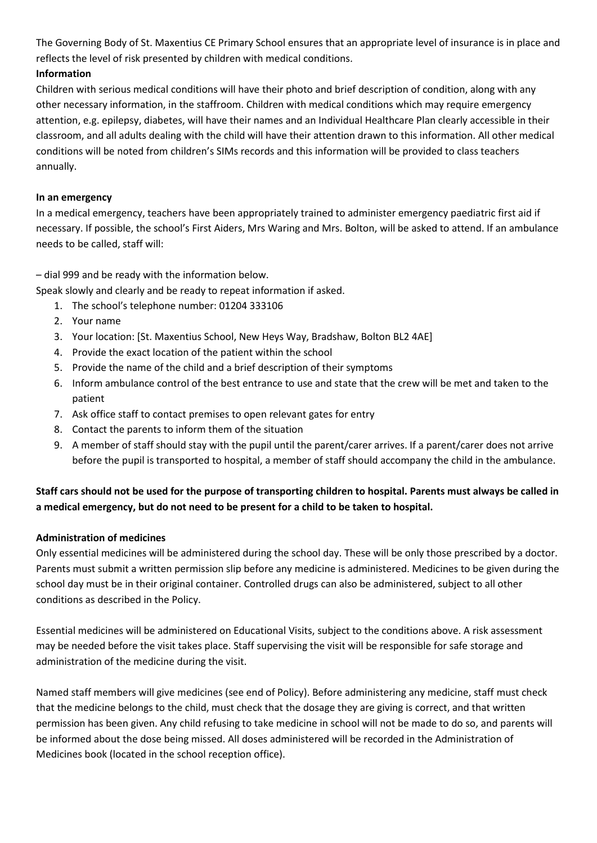The Governing Body of St. Maxentius CE Primary School ensures that an appropriate level of insurance is in place and reflects the level of risk presented by children with medical conditions.

# **Information**

Children with serious medical conditions will have their photo and brief description of condition, along with any other necessary information, in the staffroom. Children with medical conditions which may require emergency attention, e.g. epilepsy, diabetes, will have their names and an Individual Healthcare Plan clearly accessible in their classroom, and all adults dealing with the child will have their attention drawn to this information. All other medical conditions will be noted from children's SIMs records and this information will be provided to class teachers annually.

## **In an emergency**

In a medical emergency, teachers have been appropriately trained to administer emergency paediatric first aid if necessary. If possible, the school's First Aiders, Mrs Waring and Mrs. Bolton, will be asked to attend. If an ambulance needs to be called, staff will:

– dial 999 and be ready with the information below.

Speak slowly and clearly and be ready to repeat information if asked.

- 1. The school's telephone number: 01204 333106
- 2. Your name
- 3. Your location: [St. Maxentius School, New Heys Way, Bradshaw, Bolton BL2 4AE]
- 4. Provide the exact location of the patient within the school
- 5. Provide the name of the child and a brief description of their symptoms
- 6. Inform ambulance control of the best entrance to use and state that the crew will be met and taken to the patient
- 7. Ask office staff to contact premises to open relevant gates for entry
- 8. Contact the parents to inform them of the situation
- 9. A member of staff should stay with the pupil until the parent/carer arrives. If a parent/carer does not arrive before the pupil is transported to hospital, a member of staff should accompany the child in the ambulance.

# **Staff cars should not be used for the purpose of transporting children to hospital. Parents must always be called in a medical emergency, but do not need to be present for a child to be taken to hospital.**

## **Administration of medicines**

Only essential medicines will be administered during the school day. These will be only those prescribed by a doctor. Parents must submit a written permission slip before any medicine is administered. Medicines to be given during the school day must be in their original container. Controlled drugs can also be administered, subject to all other conditions as described in the Policy.

Essential medicines will be administered on Educational Visits, subject to the conditions above. A risk assessment may be needed before the visit takes place. Staff supervising the visit will be responsible for safe storage and administration of the medicine during the visit.

Named staff members will give medicines (see end of Policy). Before administering any medicine, staff must check that the medicine belongs to the child, must check that the dosage they are giving is correct, and that written permission has been given. Any child refusing to take medicine in school will not be made to do so, and parents will be informed about the dose being missed. All doses administered will be recorded in the Administration of Medicines book (located in the school reception office).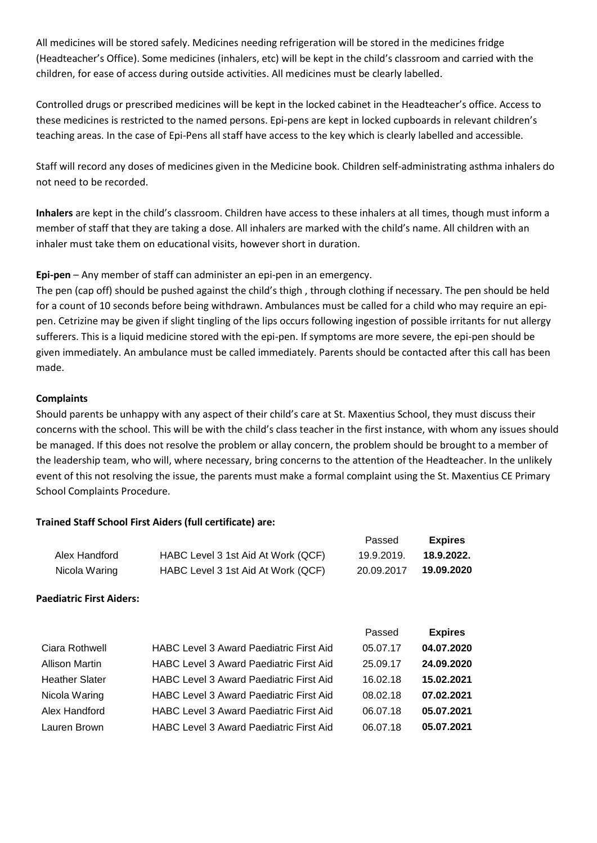All medicines will be stored safely. Medicines needing refrigeration will be stored in the medicines fridge (Headteacher's Office). Some medicines (inhalers, etc) will be kept in the child's classroom and carried with the children, for ease of access during outside activities. All medicines must be clearly labelled.

Controlled drugs or prescribed medicines will be kept in the locked cabinet in the Headteacher's office. Access to these medicines is restricted to the named persons. Epi-pens are kept in locked cupboards in relevant children's teaching areas. In the case of Epi-Pens all staff have access to the key which is clearly labelled and accessible.

Staff will record any doses of medicines given in the Medicine book. Children self-administrating asthma inhalers do not need to be recorded.

**Inhalers** are kept in the child's classroom. Children have access to these inhalers at all times, though must inform a member of staff that they are taking a dose. All inhalers are marked with the child's name. All children with an inhaler must take them on educational visits, however short in duration.

**Epi-pen** – Any member of staff can administer an epi-pen in an emergency.

The pen (cap off) should be pushed against the child's thigh , through clothing if necessary. The pen should be held for a count of 10 seconds before being withdrawn. Ambulances must be called for a child who may require an epipen. Cetrizine may be given if slight tingling of the lips occurs following ingestion of possible irritants for nut allergy sufferers. This is a liquid medicine stored with the epi-pen. If symptoms are more severe, the epi-pen should be given immediately. An ambulance must be called immediately. Parents should be contacted after this call has been made.

## **Complaints**

Should parents be unhappy with any aspect of their child's care at St. Maxentius School, they must discuss their concerns with the school. This will be with the child's class teacher in the first instance, with whom any issues should be managed. If this does not resolve the problem or allay concern, the problem should be brought to a member of the leadership team, who will, where necessary, bring concerns to the attention of the Headteacher. In the unlikely event of this not resolving the issue, the parents must make a formal complaint using the St. Maxentius CE Primary School Complaints Procedure.

Passed **Expires**

## **Trained Staff School First Aiders (full certificate) are:**

|                                 |                                                | i assu     | -~~~~          |
|---------------------------------|------------------------------------------------|------------|----------------|
| Alex Handford                   | HABC Level 3 1st Aid At Work (QCF)             | 19.9.2019. | 18.9.2022.     |
| Nicola Waring                   | HABC Level 3 1st Aid At Work (QCF)             | 20.09.2017 | 19.09.2020     |
| <b>Paediatric First Aiders:</b> |                                                |            |                |
|                                 |                                                | Passed     | <b>Expires</b> |
| Ciara Rothwell                  | <b>HABC Level 3 Award Paediatric First Aid</b> | 05.07.17   | 04.07.2020     |
| <b>Allison Martin</b>           | <b>HABC Level 3 Award Paediatric First Aid</b> | 25.09.17   | 24.09.2020     |
| <b>Heather Slater</b>           | <b>HABC Level 3 Award Paediatric First Aid</b> | 16.02.18   | 15.02.2021     |
| Nicola Waring                   | <b>HABC Level 3 Award Paediatric First Aid</b> | 08.02.18   | 07.02.2021     |
| Alex Handford                   | <b>HABC Level 3 Award Paediatric First Aid</b> | 06.07.18   | 05.07.2021     |
| Lauren Brown                    | <b>HABC Level 3 Award Paediatric First Aid</b> | 06.07.18   | 05.07.2021     |